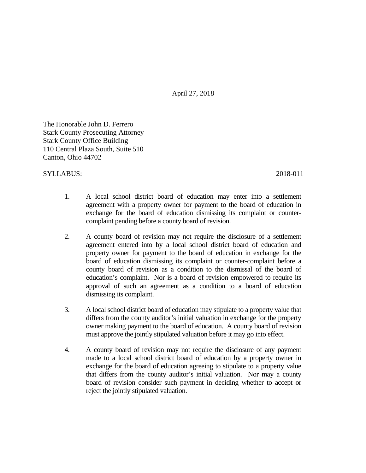April 27, 2018

The Honorable John D. Ferrero Stark County Prosecuting Attorney Stark County Office Building 110 Central Plaza South, Suite 510 Canton, Ohio 44702

### SYLLABUS: 2018-011

- 1. A local school district board of education may enter into a settlement agreement with a property owner for payment to the board of education in exchange for the board of education dismissing its complaint or countercomplaint pending before a county board of revision.
- $2.$ dismissing its complaint. A county board of revision may not require the disclosure of a settlement agreement entered into by a local school district board of education and property owner for payment to the board of education in exchange for the board of education dismissing its complaint or counter-complaint before a county board of revision as a condition to the dismissal of the board of education's complaint. Nor is a board of revision empowered to require its approval of such an agreement as a condition to a board of education
- $\overline{3}$ . A local school district board of education may stipulate to a property value that differs from the county auditor's initial valuation in exchange for the property owner making payment to the board of education. A county board of revision must approve the jointly stipulated valuation before it may go into effect.
- 4. 4. A county board of revision may not require the disclosure of any payment made to a local school district board of education by a property owner in exchange for the board of education agreeing to stipulate to a property value that differs from the county auditor's initial valuation. Nor may a county board of revision consider such payment in deciding whether to accept or reject the jointly stipulated valuation.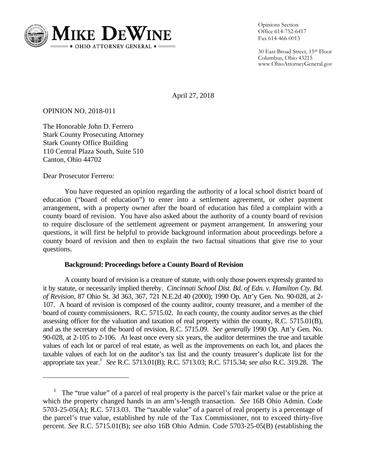

Opinions Section Office 614-752-6417 Fax 614-466-0013

30 East Broad Street, 15th Floor Columbus, Ohio 43215 www.OhioAttorneyGeneral.gov

April 27, 2018

OPINION NO. 2018-011

The Honorable John D. Ferrero Stark County Prosecuting Attorney Stark County Office Building 110 Central Plaza South, Suite 510 Canton, Ohio 44702

Dear Prosecutor Ferrero:

You have requested an opinion regarding the authority of a local school district board of education ("board of education") to enter into a settlement agreement, or other payment arrangement, with a property owner after the board of education has filed a complaint with a county board of revision. You have also asked about the authority of a county board of revision to require disclosure of the settlement agreement or payment arrangement. In answering your questions, it will first be helpful to provide background information about proceedings before a county board of revision and then to explain the two factual situations that give rise to your questions.

### **Background: Proceedings before a County Board of Revision**

 appropriate tax year.1 *See* R.C. 5713.01(B); R.C. 5713.03; R.C. 5715.34; *see also* R.C. 319.28. The A county board of revision is a creature of statute, with only those powers expressly granted to it by statute, or necessarily implied thereby. *Cincinnati School Dist. Bd. of Edn. v. Hamilton Cty. Bd. of Revision*, 87 Ohio St. 3d 363, 367, 721 N.E.2d 40 (2000); 1990 Op. Att'y Gen. No. 90-028, at 2 107. A board of revision is composed of the county auditor, county treasurer, and a member of the board of county commissioners. R.C. 5715.02. In each county, the county auditor serves as the chief assessing officer for the valuation and taxation of real property within the county, R.C. 5715.01(B), and as the secretary of the board of revision, R.C. 5715.09. *See generally* 1990 Op. Att'y Gen. No. 90-028, at 2-105 to 2-106. At least once every six years, the auditor determines the true and taxable values of each lot or parcel of real estate, as well as the improvements on each lot, and places the taxable values of each lot on the auditor's tax list and the county treasurer's duplicate list for the

<sup>&</sup>lt;sup>1</sup> The "true value" of a parcel of real property is the parcel's fair market value or the price at which the property changed hands in an arm's-length transaction. *See* 16B Ohio Admin. Code 5703-25-05(A); R.C. 5713.03. The "taxable value" of a parcel of real property is a percentage of the parcel's true value, established by rule of the Tax Commissioner, not to exceed thirty-five percent. *See* R.C. 5715.01(B); *see also* 16B Ohio Admin. Code 5703-25-05(B) (establishing the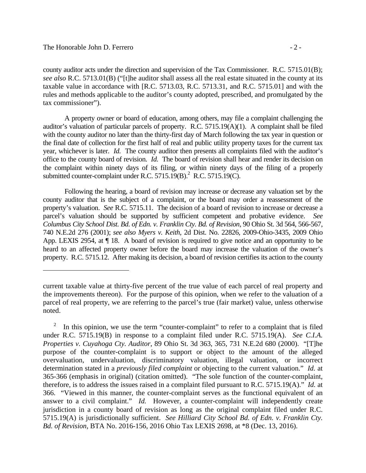county auditor acts under the direction and supervision of the Tax Commissioner. R.C. 5715.01(B); *see also* R.C. 5713.01(B) ("[t]he auditor shall assess all the real estate situated in the county at its taxable value in accordance with [R.C. 5713.03, R.C. 5713.31, and R.C. 5715.01] and with the rules and methods applicable to the auditor's county adopted, prescribed, and promulgated by the tax commissioner").

A property owner or board of education, among others, may file a complaint challenging the auditor's valuation of particular parcels of property. R.C. 5715.19(A)(1). A complaint shall be filed with the county auditor no later than the thirty-first day of March following the tax year in question or the final date of collection for the first half of real and public utility property taxes for the current tax year, whichever is later. *Id.* The county auditor then presents all complaints filed with the auditor's office to the county board of revision. *Id.* The board of revision shall hear and render its decision on the complaint within ninety days of its filing, or within ninety days of the filing of a properly submitted counter-complaint under R.C.  $5715.19(B)$ . R.C.  $5715.19(C)$ .

Following the hearing, a board of revision may increase or decrease any valuation set by the county auditor that is the subject of a complaint, or the board may order a reassessment of the property's valuation. *See* R.C. 5715.11. The decision of a board of revision to increase or decrease a parcel's valuation should be supported by sufficient competent and probative evidence. *See Columbus City School Dist. Bd. of Edn. v. Franklin Cty. Bd. of Revision*, 90 Ohio St. 3d 564, 566-567, 740 N.E.2d 276 (2001); *see also Myers v. Keith*, 2d Dist. No. 22826, 2009-Ohio-3435, 2009 Ohio App. LEXIS 2954, at ¶ 18. A board of revision is required to give notice and an opportunity to be heard to an affected property owner before the board may increase the valuation of the owner's property. R.C. 5715.12. After making its decision, a board of revision certifies its action to the county

current taxable value at thirty-five percent of the true value of each parcel of real property and the improvements thereon). For the purpose of this opinion, when we refer to the valuation of a parcel of real property, we are referring to the parcel's true (fair market) value, unless otherwise noted.

<sup>2</sup> In this opinion, we use the term "counter-complaint" to refer to a complaint that is filed under R.C. 5715.19(B) in response to a complaint filed under R.C. 5715.19(A). *See C.I.A. Properties v. Cuyahoga Cty. Auditor*, 89 Ohio St. 3d 363, 365, 731 N.E.2d 680 (2000). "[T]he purpose of the counter-complaint is to support or object to the amount of the alleged overvaluation, undervaluation, discriminatory valuation, illegal valuation, or incorrect determination stated in a *previously filed complaint* or objecting to the current valuation." *Id.* at 365-366 (emphasis in original) (citation omitted). "The sole function of the counter-complaint, therefore, is to address the issues raised in a complaint filed pursuant to R.C. 5715.19(A)." *Id.* at 366. "Viewed in this manner, the counter-complaint serves as the functional equivalent of an answer to a civil complaint." *Id.* However, a counter-complaint will independently create jurisdiction in a county board of revision as long as the original complaint filed under R.C. 5715.19(A) is jurisdictionally sufficient. *See Hilliard City School Bd. of Edn. v. Franklin Cty. Bd. of Revision*, BTA No. 2016-156, 2016 Ohio Tax LEXIS 2698, at \*8 (Dec. 13, 2016).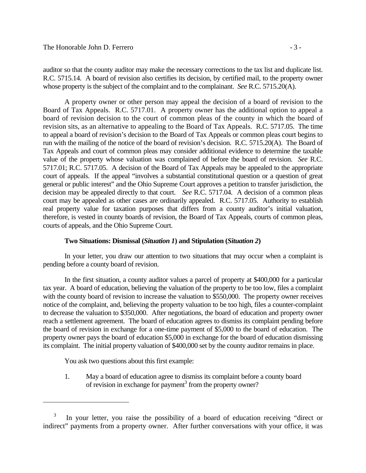auditor so that the county auditor may make the necessary corrections to the tax list and duplicate list. R.C. 5715.14. A board of revision also certifies its decision, by certified mail, to the property owner whose property is the subject of the complaint and to the complainant. *See* R.C. 5715.20(A).

 decision may be appealed directly to that court. *See* R.C. 5717.04. A decision of a common pleas A property owner or other person may appeal the decision of a board of revision to the Board of Tax Appeals. R.C. 5717.01. A property owner has the additional option to appeal a board of revision decision to the court of common pleas of the county in which the board of revision sits, as an alternative to appealing to the Board of Tax Appeals. R.C. 5717.05. The time to appeal a board of revision's decision to the Board of Tax Appeals or common pleas court begins to run with the mailing of the notice of the board of revision's decision. R.C. 5715.20(A). The Board of Tax Appeals and court of common pleas may consider additional evidence to determine the taxable value of the property whose valuation was complained of before the board of revision. *See* R.C. 5717.01; R.C. 5717.05. A decision of the Board of Tax Appeals may be appealed to the appropriate court of appeals. If the appeal "involves a substantial constitutional question or a question of great general or public interest" and the Ohio Supreme Court approves a petition to transfer jurisdiction, the court may be appealed as other cases are ordinarily appealed. R.C. 5717.05. Authority to establish real property value for taxation purposes that differs from a county auditor's initial valuation, therefore, is vested in county boards of revision, the Board of Tax Appeals, courts of common pleas, courts of appeals, and the Ohio Supreme Court.

### **Two Situations: Dismissal (***Situation 1***) and Stipulation (***Situation 2***)**

In your letter, you draw our attention to two situations that may occur when a complaint is pending before a county board of revision.

In the first situation, a county auditor values a parcel of property at \$400,000 for a particular tax year. A board of education, believing the valuation of the property to be too low, files a complaint with the county board of revision to increase the valuation to \$550,000. The property owner receives notice of the complaint, and, believing the property valuation to be too high, files a counter-complaint to decrease the valuation to \$350,000. After negotiations, the board of education and property owner reach a settlement agreement. The board of education agrees to dismiss its complaint pending before the board of revision in exchange for a one-time payment of \$5,000 to the board of education. The property owner pays the board of education \$5,000 in exchange for the board of education dismissing its complaint. The initial property valuation of \$400,000 set by the county auditor remains in place.

You ask two questions about this first example:

1. May a board of education agree to dismiss its complaint before a county board of revision in exchange for payment<sup>3</sup> from the property owner?

In your letter, you raise the possibility of a board of education receiving "direct or indirect" payments from a property owner. After further conversations with your office, it was 3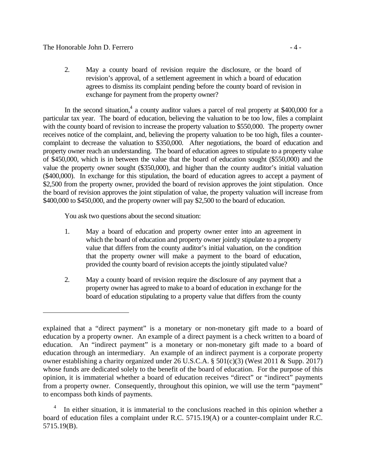2. May a county board of revision require the disclosure, or the board of revision's approval, of a settlement agreement in which a board of education agrees to dismiss its complaint pending before the county board of revision in exchange for payment from the property owner?

In the second situation,<sup>4</sup> a county auditor values a parcel of real property at \$400,000 for a particular tax year. The board of education, believing the valuation to be too low, files a complaint with the county board of revision to increase the property valuation to \$550,000. The property owner receives notice of the complaint, and, believing the property valuation to be too high, files a countercomplaint to decrease the valuation to \$350,000. After negotiations, the board of education and property owner reach an understanding. The board of education agrees to stipulate to a property value of \$450,000, which is in between the value that the board of education sought (\$550,000) and the value the property owner sought (\$350,000), and higher than the county auditor's initial valuation (\$400,000). In exchange for this stipulation, the board of education agrees to accept a payment of \$2,500 from the property owner, provided the board of revision approves the joint stipulation. Once the board of revision approves the joint stipulation of value, the property valuation will increase from \$400,000 to \$450,000, and the property owner will pay \$2,500 to the board of education.

You ask two questions about the second situation:

- provided the county board of revision accepts the jointly stipulated value? 1. May a board of education and property owner enter into an agreement in which the board of education and property owner jointly stipulate to a property value that differs from the county auditor's initial valuation, on the condition that the property owner will make a payment to the board of education,
- 2. May a county board of revision require the disclosure of any payment that a property owner has agreed to make to a board of education in exchange for the board of education stipulating to a property value that differs from the county

explained that a "direct payment" is a monetary or non-monetary gift made to a board of education by a property owner. An example of a direct payment is a check written to a board of education. An "indirect payment" is a monetary or non-monetary gift made to a board of education through an intermediary. An example of an indirect payment is a corporate property owner establishing a charity organized under 26 U.S.C.A. § 501(c)(3) (West 2011 & Supp. 2017) whose funds are dedicated solely to the benefit of the board of education. For the purpose of this opinion, it is immaterial whether a board of education receives "direct" or "indirect" payments from a property owner. Consequently, throughout this opinion, we will use the term "payment" to encompass both kinds of payments.

In either situation, it is immaterial to the conclusions reached in this opinion whether a board of education files a complaint under R.C. 5715.19(A) or a counter-complaint under R.C. 5715.19(B). 4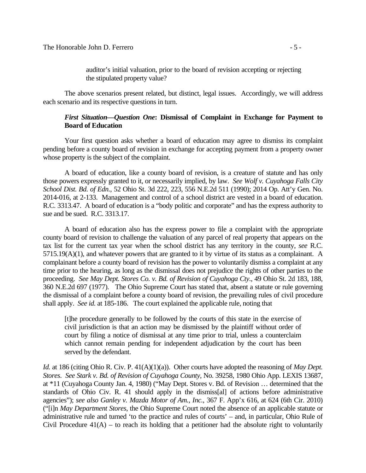auditor's initial valuation, prior to the board of revision accepting or rejecting the stipulated property value?

 each scenario and its respective questions in turn. The above scenarios present related, but distinct, legal issues. Accordingly, we will address

## *First Situation—Question One***: Dismissal of Complaint in Exchange for Payment to Board of Education**

Your first question asks whether a board of education may agree to dismiss its complaint pending before a county board of revision in exchange for accepting payment from a property owner whose property is the subject of the complaint.

A board of education, like a county board of revision, is a creature of statute and has only those powers expressly granted to it, or necessarily implied, by law. *See Wolf v. Cuyahoga Falls City School Dist. Bd. of Edn.*, 52 Ohio St. 3d 222, 223, 556 N.E.2d 511 (1990); 2014 Op. Att'y Gen. No. 2014-016, at 2-133. Management and control of a school district are vested in a board of education. R.C. 3313.47. A board of education is a "body politic and corporate" and has the express authority to sue and be sued. R.C. 3313.17.

A board of education also has the express power to file a complaint with the appropriate county board of revision to challenge the valuation of any parcel of real property that appears on the tax list for the current tax year when the school district has any territory in the county, *see* R.C. 5715.19(A)(1), and whatever powers that are granted to it by virtue of its status as a complainant. A complainant before a county board of revision has the power to voluntarily dismiss a complaint at any time prior to the hearing, as long as the dismissal does not prejudice the rights of other parties to the proceeding. *See May Dept. Stores Co. v. Bd. of Revision of Cuyahoga Cty.*, 49 Ohio St. 2d 183, 188, 360 N.E.2d 697 (1977). The Ohio Supreme Court has stated that, absent a statute or rule governing the dismissal of a complaint before a county board of revision, the prevailing rules of civil procedure shall apply. *See id.* at 185-186. The court explained the applicable rule, noting that

[t]he procedure generally to be followed by the courts of this state in the exercise of civil jurisdiction is that an action may be dismissed by the plaintiff without order of court by filing a notice of dismissal at any time prior to trial, unless a counterclaim which cannot remain pending for independent adjudication by the court has been served by the defendant.

*Id.* at 186 (citing Ohio R. Civ. P. 41(A)(1)(a)). Other courts have adopted the reasoning of *May Dept. Stores*. *See Stark v. Bd. of Revision of Cuyahoga County*, No. 39258, 1980 Ohio App. LEXIS 13687, at \*11 (Cuyahoga County Jan. 4, 1980) ("May Dept. Stores v. Bd. of Revision … determined that the standards of Ohio Civ. R. 41 should apply in the dismiss[al] of actions before administrative agencies"); *see also Ganley v. Mazda Motor of Am., Inc.*, 367 F. App'x 616, at 624 (6th Cir. 2010) ("[i]n *May Department Stores*, the Ohio Supreme Court noted the absence of an applicable statute or administrative rule and turned 'to the practice and rules of courts' – and, in particular, Ohio Rule of Civil Procedure  $41(A)$  – to reach its holding that a petitioner had the absolute right to voluntarily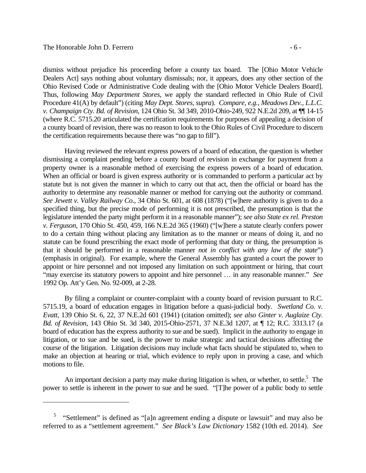#### The Honorable John D. Ferrero

Ohio Revised Code or Administrative Code dealing with the [Ohio Motor Vehicle Dealers Board]. dismiss without prejudice his proceeding before a county tax board. The [Ohio Motor Vehicle Dealers Act] says nothing about voluntary dismissals; nor, it appears, does any other section of the Thus, following *May Department Stores*, we apply the standard reflected in Ohio Rule of Civil Procedure 41(A) by default") (citing *May Dept. Stores*, *supra*). *Compare*, *e.g.*, *Meadows Dev., L.L.C. v. Champaign Cty. Bd. of Revision*, 124 Ohio St. 3d 349, 2010-Ohio-249, 922 N.E.2d 209, at ¶¶ 14-15 (where R.C. 5715.20 articulated the certification requirements for purposes of appealing a decision of a county board of revision, there was no reason to look to the Ohio Rules of Civil Procedure to discern the certification requirements because there was "no gap to fill").

Having reviewed the relevant express powers of a board of education, the question is whether dismissing a complaint pending before a county board of revision in exchange for payment from a property owner is a reasonable method of exercising the express powers of a board of education. When an official or board is given express authority or is commanded to perform a particular act by statute but is not given the manner in which to carry out that act, then the official or board has the authority to determine any reasonable manner or method for carrying out the authority or command. *See Jewett v. Valley Railway Co.*, 34 Ohio St. 601, at 608 (1878) ("[w]here authority is given to do a specified thing, but the precise mode of performing it is not prescribed, the presumption is that the legislature intended the party might perform it in a reasonable manner"); *see also State ex rel. Preston v. Ferguson*, 170 Ohio St. 450, 459, 166 N.E.2d 365 (1960) ("[w]here a statute clearly confers power to do a certain thing without placing any limitation as to the manner or means of doing it, and no statute can be found prescribing the exact mode of performing that duty or thing, the presumption is that it should be performed in a reasonable manner *not in conflict with any law of the state*") (emphasis in original). For example, where the General Assembly has granted a court the power to appoint or hire personnel and not imposed any limitation on such appointment or hiring, that court "may exercise its statutory powers to appoint and hire personnel … in any reasonable manner." *See*  1992 Op. Att'y Gen. No. 92-009, at 2-28.

By filing a complaint or counter-complaint with a county board of revision pursuant to R.C. 5715.19, a board of education engages in litigation before a quasi-judicial body. *Swetland Co. v. Evatt*, 139 Ohio St. 6, 22, 37 N.E.2d 601 (1941) (citation omitted); *see also Ginter v. Auglaize Cty. Bd. of Revision*, 143 Ohio St. 3d 340, 2015-Ohio-2571, 37 N.E.3d 1207, at ¶ 12; R.C. 3313.17 (a board of education has the express authority to sue and be sued). Implicit in the authority to engage in litigation, or to sue and be sued, is the power to make strategic and tactical decisions affecting the course of the litigation. Litigation decisions may include what facts should be stipulated to, when to make an objection at hearing or trial, which evidence to reply upon in proving a case, and which motions to file.

An important decision a party may make during litigation is when, or whether, to settle.<sup>5</sup> The power to settle is inherent in the power to sue and be sued. "[T]he power of a public body to settle

<sup>&</sup>lt;sup>5</sup> "Settlement" is defined as "[a]n agreement ending a dispute or lawsuit" and may also be referred to as a "settlement agreement." *See Black's Law Dictionary* 1582 (10th ed. 2014). *See*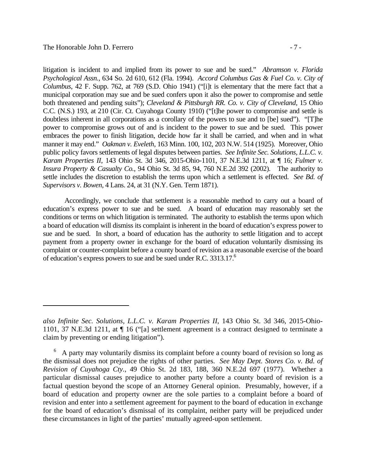litigation is incident to and implied from its power to sue and be sued." *Abramson v. Florida Psychological Assn.*, 634 So. 2d 610, 612 (Fla. 1994). *Accord Columbus Gas & Fuel Co. v. City of Columbus*, 42 F. Supp. 762, at 769 (S.D. Ohio 1941) ("[i]t is elementary that the mere fact that a municipal corporation may sue and be sued confers upon it also the power to compromise and settle both threatened and pending suits"); *Cleveland & Pittsburgh RR. Co. v. City of Cleveland*, 15 Ohio C.C. (N.S.) 193, at 210 (Cir. Ct. Cuyahoga County 1910) ("[t]he power to compromise and settle is doubtless inherent in all corporations as a corollary of the powers to sue and to [be] sued"). "[T]he power to compromise grows out of and is incident to the power to sue and be sued. This power embraces the power to finish litigation, decide how far it shall be carried, and when and in what manner it may end." *Oakman v. Eveleth*, 163 Minn. 100, 102, 203 N.W. 514 (1925). Moreover, Ohio public policy favors settlements of legal disputes between parties. *See Infinite Sec. Solutions, L.L.C. v. Karam Properties II*, 143 Ohio St. 3d 346, 2015-Ohio-1101, 37 N.E.3d 1211, at ¶ 16; *Fulmer v. Insura Property & Casualty Co.*, 94 Ohio St. 3d 85, 94, 760 N.E.2d 392 (2002). The authority to settle includes the discretion to establish the terms upon which a settlement is effected. *See Bd. of Supervisors v. Bowen*, 4 Lans. 24, at 31 (N.Y. Gen. Term 1871).

of education's express powers to sue and be sued under R.C. 3313.17.<sup>6</sup> Accordingly, we conclude that settlement is a reasonable method to carry out a board of education's express power to sue and be sued. A board of education may reasonably set the conditions or terms on which litigation is terminated. The authority to establish the terms upon which a board of education will dismiss its complaint is inherent in the board of education's express power to sue and be sued. In short, a board of education has the authority to settle litigation and to accept payment from a property owner in exchange for the board of education voluntarily dismissing its complaint or counter-complaint before a county board of revision as a reasonable exercise of the board

*also Infinite Sec. Solutions, L.L.C. v. Karam Properties II*, 143 Ohio St. 3d 346, 2015-Ohio-1101, 37 N.E.3d 1211, at ¶ 16 ("[a] settlement agreement is a contract designed to terminate a claim by preventing or ending litigation").

<sup>&</sup>lt;sup>6</sup> A party may voluntarily dismiss its complaint before a county board of revision so long as the dismissal does not prejudice the rights of other parties. *See May Dept. Stores Co. v. Bd. of Revision of Cuyahoga Cty.*, 49 Ohio St. 2d 183, 188, 360 N.E.2d 697 (1977). Whether a particular dismissal causes prejudice to another party before a county board of revision is a factual question beyond the scope of an Attorney General opinion. Presumably, however, if a board of education and property owner are the sole parties to a complaint before a board of revision and enter into a settlement agreement for payment to the board of education in exchange for the board of education's dismissal of its complaint, neither party will be prejudiced under these circumstances in light of the parties' mutually agreed-upon settlement.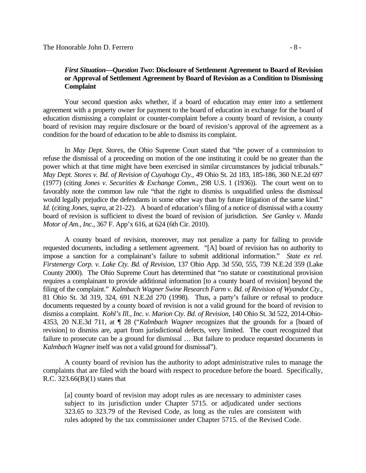## *First Situation—Question Two***: Disclosure of Settlement Agreement to Board of Revision or Approval of Settlement Agreement by Board of Revision as a Condition to Dismissing Complaint**

Your second question asks whether, if a board of education may enter into a settlement agreement with a property owner for payment to the board of education in exchange for the board of education dismissing a complaint or counter-complaint before a county board of revision, a county board of revision may require disclosure or the board of revision's approval of the agreement as a condition for the board of education to be able to dismiss its complaint.

In *May Dept. Stores*, the Ohio Supreme Court stated that "the power of a commission to refuse the dismissal of a proceeding on motion of the one instituting it could be no greater than the power which at that time might have been exercised in similar circumstances by judicial tribunals." *May Dept. Stores v. Bd. of Revision of Cuyahoga Cty.*, 49 Ohio St. 2d 183, 185-186, 360 N.E.2d 697 (1977) (citing *Jones v. Securities & Exchange Comm.*, 298 U.S. 1 (1936)). The court went on to favorably note the common law rule "that the right to dismiss is unqualified unless the dismissal would legally prejudice the defendants in some other way than by future litigation of the same kind." *Id.* (citing *Jones*, *supra*, at 21-22). A board of education's filing of a notice of dismissal with a county board of revision is sufficient to divest the board of revision of jurisdiction. *See Ganley v. Mazda Motor of Am., Inc.*, 367 F. App'x 616, at 624 (6th Cir. 2010).

A county board of revision, moreover, may not penalize a party for failing to provide requested documents, including a settlement agreement. "[A] board of revision has no authority to impose a sanction for a complainant's failure to submit additional information." *State ex rel. Firstenergy Corp. v. Lake Cty. Bd. of Revision*, 137 Ohio App. 3d 550, 555, 739 N.E.2d 359 (Lake County 2000). The Ohio Supreme Court has determined that "no statute or constitutional provision requires a complainant to provide additional information [to a county board of revision] beyond the filing of the complaint." *Kalmbach Wagner Swine Research Farm v. Bd. of Revision of Wyandot Cty.*, 81 Ohio St. 3d 319, 324, 691 N.E.2d 270 (1998). Thus, a party's failure or refusal to produce documents requested by a county board of revision is not a valid ground for the board of revision to dismiss a complaint. *Kohl's Ill., Inc. v. Marion Cty. Bd. of Revision*, 140 Ohio St. 3d 522, 2014-Ohio-4353, 20 N.E.3d 711, at ¶ 28 ("*Kalmbach Wagner* recognizes that the grounds for a [board of revision] to dismiss are, apart from jurisdictional defects, very limited. The court recognized that failure to prosecute can be a ground for dismissal … But failure to produce requested documents in *Kalmbach Wagner* itself was not a valid ground for dismissal").

A county board of revision has the authority to adopt administrative rules to manage the complaints that are filed with the board with respect to procedure before the board. Specifically, R.C.  $323.66(B)(1)$  states that

[a] county board of revision may adopt rules as are necessary to administer cases subject to its jurisdiction under Chapter 5715. or adjudicated under sections 323.65 to 323.79 of the Revised Code, as long as the rules are consistent with rules adopted by the tax commissioner under Chapter 5715. of the Revised Code.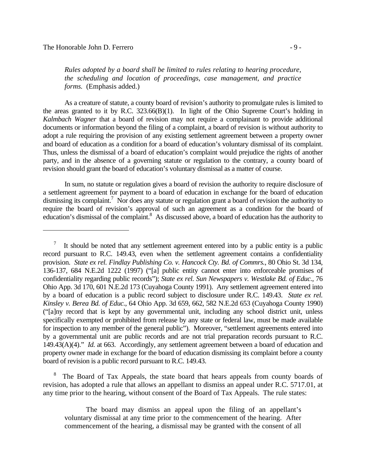*Rules adopted by a board shall be limited to rules relating to hearing procedure, the scheduling and location of proceedings, case management, and practice forms.* (Emphasis added.)

and board of education as a condition for a board of education's voluntary dismissal of its complaint. As a creature of statute, a county board of revision's authority to promulgate rules is limited to the areas granted to it by R.C. 323.66(B)(1). In light of the Ohio Supreme Court's holding in *Kalmbach Wagner* that a board of revision may not require a complainant to provide additional documents or information beyond the filing of a complaint, a board of revision is without authority to adopt a rule requiring the provision of any existing settlement agreement between a property owner Thus, unless the dismissal of a board of education's complaint would prejudice the rights of another party, and in the absence of a governing statute or regulation to the contrary, a county board of revision should grant the board of education's voluntary dismissal as a matter of course.

In sum, no statute or regulation gives a board of revision the authority to require disclosure of a settlement agreement for payment to a board of education in exchange for the board of education dismissing its complaint.<sup>7</sup> Nor does any statute or regulation grant a board of revision the authority to require the board of revision's approval of such an agreement as a condition for the board of education's dismissal of the complaint.<sup>8</sup> As discussed above, a board of education has the authority to

<sup>8</sup> The Board of Tax Appeals, the state board that hears appeals from county boards of revision, has adopted a rule that allows an appellant to dismiss an appeal under R.C. 5717.01, at any time prior to the hearing, without consent of the Board of Tax Appeals. The rule states:

<sup>7</sup> It should be noted that any settlement agreement entered into by a public entity is a public record pursuant to R.C. 149.43, even when the settlement agreement contains a confidentiality provision. *State ex rel. Findlay Publishing Co. v. Hancock Cty. Bd. of Commrs.*, 80 Ohio St. 3d 134, 136-137, 684 N.E.2d 1222 (1997) ("[a] public entity cannot enter into enforceable promises of confidentiality regarding public records"); *State ex rel. Sun Newspapers v. Westlake Bd. of Educ.*, 76 Ohio App. 3d 170, 601 N.E.2d 173 (Cuyahoga County 1991). Any settlement agreement entered into by a board of education is a public record subject to disclosure under R.C. 149.43. *State ex rel. Kinsley v. Berea Bd. of Educ.*, 64 Ohio App. 3d 659, 662, 582 N.E.2d 653 (Cuyahoga County 1990) ("[a]ny record that is kept by any governmental unit, including any school district unit, unless specifically exempted or prohibited from release by any state or federal law, must be made available for inspection to any member of the general public"). Moreover, "settlement agreements entered into by a governmental unit are public records and are not trial preparation records pursuant to R.C. 149.43(A)(4)." *Id.* at 663. Accordingly, any settlement agreement between a board of education and property owner made in exchange for the board of education dismissing its complaint before a county board of revision is a public record pursuant to R.C. 149.43.

The board may dismiss an appeal upon the filing of an appellant's voluntary dismissal at any time prior to the commencement of the hearing. After commencement of the hearing, a dismissal may be granted with the consent of all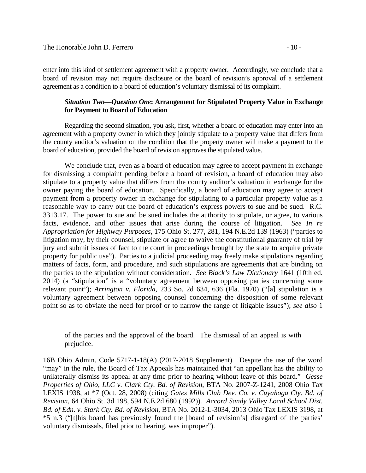enter into this kind of settlement agreement with a property owner. Accordingly, we conclude that a board of revision may not require disclosure or the board of revision's approval of a settlement agreement as a condition to a board of education's voluntary dismissal of its complaint.

# *Situation Two—Question One***: Arrangement for Stipulated Property Value in Exchange for Payment to Board of Education**

Regarding the second situation, you ask, first, whether a board of education may enter into an agreement with a property owner in which they jointly stipulate to a property value that differs from the county auditor's valuation on the condition that the property owner will make a payment to the board of education, provided the board of revision approves the stipulated value.

We conclude that, even as a board of education may agree to accept payment in exchange for dismissing a complaint pending before a board of revision, a board of education may also stipulate to a property value that differs from the county auditor's valuation in exchange for the owner paying the board of education. Specifically, a board of education may agree to accept payment from a property owner in exchange for stipulating to a particular property value as a reasonable way to carry out the board of education's express powers to sue and be sued. R.C. 3313.17. The power to sue and be sued includes the authority to stipulate, or agree, to various facts, evidence, and other issues that arise during the course of litigation. *See In re Appropriation for Highway Purposes*, 175 Ohio St. 277, 281, 194 N.E.2d 139 (1963) ("parties to litigation may, by their counsel, stipulate or agree to waive the constitutional guaranty of trial by jury and submit issues of fact to the court in proceedings brought by the state to acquire private property for public use"). Parties to a judicial proceeding may freely make stipulations regarding matters of facts, form, and procedure, and such stipulations are agreements that are binding on the parties to the stipulation without consideration. *See Black's Law Dictionary* 1641 (10th ed. 2014) (a "stipulation" is a "voluntary agreement between opposing parties concerning some relevant point"); *Arrington v. Florida*, 233 So. 2d 634, 636 (Fla. 1970) ("[a] stipulation is a voluntary agreement between opposing counsel concerning the disposition of some relevant point so as to obviate the need for proof or to narrow the range of litigable issues"); *see also* 1

of the parties and the approval of the board. The dismissal of an appeal is with prejudice.

<sup>16</sup>B Ohio Admin. Code 5717-1-18(A) (2017-2018 Supplement). Despite the use of the word "may" in the rule, the Board of Tax Appeals has maintained that "an appellant has the ability to unilaterally dismiss its appeal at any time prior to hearing without leave of this board." *Gesse Properties of Ohio, LLC v. Clark Cty. Bd. of Revision*, BTA No. 2007-Z-1241, 2008 Ohio Tax LEXIS 1938, at \*7 (Oct. 28, 2008) (citing *Gates Mills Club Dev. Co. v. Cuyahoga Cty. Bd. of Revision*, 64 Ohio St. 3d 198, 594 N.E.2d 680 (1992)). *Accord Sandy Valley Local School Dist. Bd. of Edn. v. Stark Cty. Bd. of Revision*, BTA No. 2012-L-3034, 2013 Ohio Tax LEXIS 3198, at \*5 n.3 ("[t]his board has previously found the [board of revision's] disregard of the parties' voluntary dismissals, filed prior to hearing, was improper").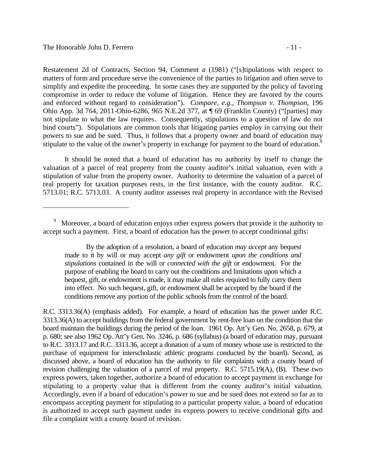$-11-$ 

Restatement 2d of Contracts, Section 94, Comment *a* (1981) ("[s]tipulations with respect to matters of form and procedure serve the convenience of the parties to litigation and often serve to simplify and expedite the proceeding. In some cases they are supported by the policy of favoring compromise in order to reduce the volume of litigation. Hence they are favored by the courts and enforced without regard to consideration"). *Compare*, *e.g.*, *Thompson v. Thompson*, 196 Ohio App. 3d 764, 2011-Ohio-6286, 965 N.E.2d 377, at ¶ 69 (Franklin County) ("[parties] may not stipulate to what the law requires. Consequently, stipulations to a question of law do not bind courts"). Stipulations are common tools that litigating parties employ in carrying out their powers to sue and be sued. Thus, it follows that a property owner and board of education may stipulate to the value of the owner's property in exchange for payment to the board of education.<sup>9</sup>

It should be noted that a board of education has no authority by itself to change the valuation of a parcel of real property from the county auditor's initial valuation, even with a stipulation of value from the property owner. Authority to determine the valuation of a parcel of real property for taxation purposes rests, in the first instance, with the county auditor. R.C. 5713.01; R.C. 5713.03. A county auditor assesses real property in accordance with the Revised

 revision challenging the valuation of a parcel of real property. R.C. 5715.19(A), (B). These two R.C. 3313.36(A) (emphasis added). For example, a board of education has the power under R.C. 3313.36(A) to accept buildings from the federal government by rent-free loan on the condition that the board maintain the buildings during the period of the loan. 1961 Op. Att'y Gen. No. 2658, p. 679, at p. 680; see also 1962 Op. Att'y Gen. No. 3246, p. 686 (syllabus) (a board of education may, pursuant to R.C. 3313.17 and R.C. 3313.36, accept a donation of a sum of money whose use is restricted to the purchase of equipment for interscholastic athletic programs conducted by the board). Second, as discussed above, a board of education has the authority to file complaints with a county board of express powers, taken together, authorize a board of education to accept payment in exchange for stipulating to a property value that is different from the county auditor's initial valuation. Accordingly, even if a board of education's power to sue and be sued does not extend so far as to encompass accepting payment for stipulating to a particular property value, a board of education is authorized to accept such payment under its express powers to receive conditional gifts and file a complaint with a county board of revision.

<sup>9</sup>  Moreover, a board of education enjoys other express powers that provide it the authority to accept such a payment. First, a board of education has the power to accept conditional gifts:

By the adoption of a resolution, a board of education *may accept* any bequest made to it by will or may accept *any gift* or endowment *upon the conditions and stipulations* contained in the will or *connected with the gift* or endowment. For the purpose of enabling the board to carry out the conditions and limitations upon which a bequest, gift, or endowment is made, it may make all rules required to fully carry them into effect. No such bequest, gift, or endowment shall be accepted by the board if the conditions remove any portion of the public schools from the control of the board.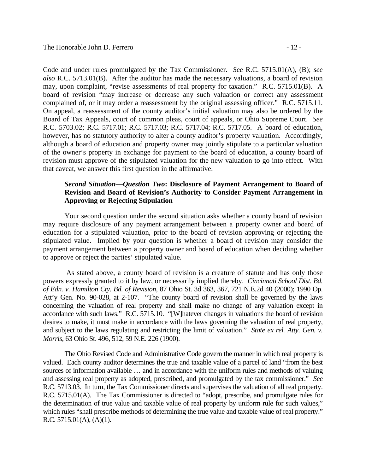Code and under rules promulgated by the Tax Commissioner. *See* R.C. 5715.01(A), (B); *see also* R.C. 5713.01(B). After the auditor has made the necessary valuations, a board of revision may, upon complaint, "revise assessments of real property for taxation." R.C. 5715.01(B). A board of revision "may increase or decrease any such valuation or correct any assessment complained of, or it may order a reassessment by the original assessing officer." R.C. 5715.11. On appeal, a reassessment of the county auditor's initial valuation may also be ordered by the Board of Tax Appeals, court of common pleas, court of appeals, or Ohio Supreme Court. *See*  R.C. 5703.02; R.C. 5717.01; R.C. 5717.03; R.C. 5717.04; R.C. 5717.05. A board of education, however, has no statutory authority to alter a county auditor's property valuation. Accordingly, although a board of education and property owner may jointly stipulate to a particular valuation of the owner's property in exchange for payment to the board of education, a county board of revision must approve of the stipulated valuation for the new valuation to go into effect. With that caveat, we answer this first question in the affirmative.

# *Second Situation—Question Two***: Disclosure of Payment Arrangement to Board of Revision and Board of Revision's Authority to Consider Payment Arrangement in Approving or Rejecting Stipulation**

Your second question under the second situation asks whether a county board of revision may require disclosure of any payment arrangement between a property owner and board of education for a stipulated valuation, prior to the board of revision approving or rejecting the stipulated value. Implied by your question is whether a board of revision may consider the payment arrangement between a property owner and board of education when deciding whether to approve or reject the parties' stipulated value.

As stated above, a county board of revision is a creature of statute and has only those powers expressly granted to it by law, or necessarily implied thereby. *Cincinnati School Dist. Bd. of Edn. v. Hamilton Cty. Bd. of Revision*, 87 Ohio St. 3d 363, 367, 721 N.E.2d 40 (2000); 1990 Op. Att'y Gen. No. 90-028, at 2-107. "The county board of revision shall be governed by the laws concerning the valuation of real property and shall make no change of any valuation except in accordance with such laws." R.C. 5715.10. "[W]hatever changes in valuations the board of revision desires to make, it must make in accordance with the laws governing the valuation of real property, and subject to the laws regulating and restricting the limit of valuation." *State ex rel. Atty. Gen. v. Morris*, 63 Ohio St. 496, 512, 59 N.E. 226 (1900).

 and assessing real property as adopted, prescribed, and promulgated by the tax commissioner." *See*  The Ohio Revised Code and Administrative Code govern the manner in which real property is valued. Each county auditor determines the true and taxable value of a parcel of land "from the best sources of information available ... and in accordance with the uniform rules and methods of valuing R.C. 5713.03. In turn, the Tax Commissioner directs and supervises the valuation of all real property. R.C. 5715.01(A). The Tax Commissioner is directed to "adopt, prescribe, and promulgate rules for the determination of true value and taxable value of real property by uniform rule for such values," which rules "shall prescribe methods of determining the true value and taxable value of real property." R.C. 5715.01(A), (A)(1).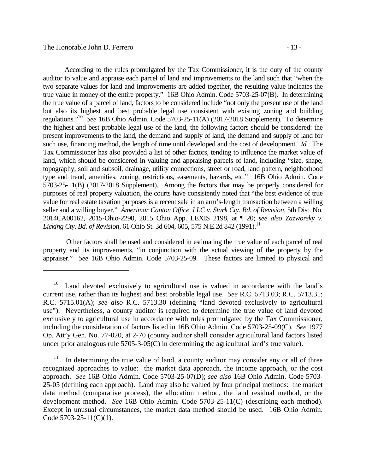regulations."10 *See* 16B Ohio Admin. Code 5703-25-11(A) (2017-2018 Supplement). To determine *Licking Cty. Bd. of Revision, 61 Ohio St. 3d 604, 605, 575 N.E.2d 842* (1991).<sup>11</sup> According to the rules promulgated by the Tax Commissioner, it is the duty of the county auditor to value and appraise each parcel of land and improvements to the land such that "when the two separate values for land and improvements are added together, the resulting value indicates the true value in money of the entire property." 16B Ohio Admin. Code 5703-25-07(B). In determining the true value of a parcel of land, factors to be considered include "not only the present use of the land but also its highest and best probable legal use consistent with existing zoning and building the highest and best probable legal use of the land, the following factors should be considered: the present improvements to the land, the demand and supply of land, the demand and supply of land for such use, financing method, the length of time until developed and the cost of development. *Id.* The Tax Commissioner has also provided a list of other factors, tending to influence the market value of land, which should be considered in valuing and appraising parcels of land, including "size, shape, topography, soil and subsoil, drainage, utility connections, street or road, land pattern, neighborhood type and trend, amenities, zoning, restrictions, easements, hazards, etc." 16B Ohio Admin. Code 5703-25-11(B) (2017-2018 Supplement). Among the factors that may be properly considered for purposes of real property valuation, the courts have consistently noted that "the best evidence of true value for real estate taxation purposes is a recent sale in an arm's-length transaction between a willing seller and a willing buyer." *Amerimar Canton Office, LLC v. Stark Cty. Bd. of Revision*, 5th Dist. No. 2014CA00162, 2015-Ohio-2290, 2015 Ohio App. LEXIS 2198, at ¶ 20; *see also Zazworsky v.* 

Other factors shall be used and considered in estimating the true value of each parcel of real property and its improvements, "in conjunction with the actual viewing of the property by the appraiser." *See* 16B Ohio Admin. Code 5703-25-09. These factors are limited to physical and

Land devoted exclusively to agricultural use is valued in accordance with the land's current use, rather than its highest and best probable legal use. *See* R.C. 5713.03; R.C. 5713.31; R.C. 5715.01(A); *see also* R.C. 5713.30 (defining "land devoted exclusively to agricultural use"). Nevertheless, a county auditor is required to determine the true value of land devoted exclusively to agricultural use in accordance with rules promulgated by the Tax Commissioner, including the consideration of factors listed in 16B Ohio Admin. Code 5703-25-09(C). *See* 1977 Op. Att'y Gen. No. 77-020, at 2-70 (county auditor shall consider agricultural land factors listed under prior analogous rule 5705-3-05(C) in determining the agricultural land's true value).

 $11$  In determining the true value of land, a county auditor may consider any or all of three recognized approaches to value: the market data approach, the income approach, or the cost approach. *See* 16B Ohio Admin. Code 5703-25-07(D); *see also* 16B Ohio Admin. Code 5703 25-05 (defining each approach). Land may also be valued by four principal methods: the market data method (comparative process), the allocation method, the land residual method, or the development method. *See* 16B Ohio Admin. Code 5703-25-11(C) (describing each method). Except in unusual circumstances, the market data method should be used. 16B Ohio Admin. Code  $5703-25-11(C)(1)$ .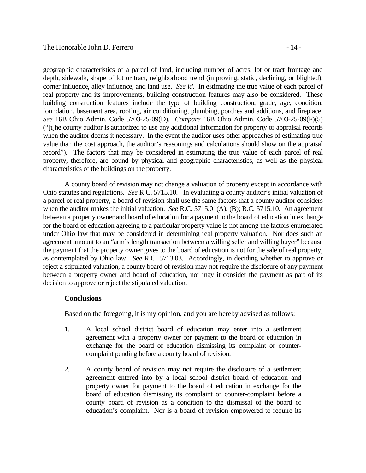geographic characteristics of a parcel of land, including number of acres, lot or tract frontage and depth, sidewalk, shape of lot or tract, neighborhood trend (improving, static, declining, or blighted), corner influence, alley influence, and land use. *See id.* In estimating the true value of each parcel of real property and its improvements, building construction features may also be considered. These building construction features include the type of building construction, grade, age, condition, foundation, basement area, roofing, air conditioning, plumbing, porches and additions, and fireplace. *See* 16B Ohio Admin. Code 5703-25-09(D). *Compare* 16B Ohio Admin. Code 5703-25-09(F)(5) ("[t]he county auditor is authorized to use any additional information for property or appraisal records when the auditor deems it necessary. In the event the auditor uses other approaches of estimating true value than the cost approach, the auditor's reasonings and calculations should show on the appraisal record"). The factors that may be considered in estimating the true value of each parcel of real property, therefore, are bound by physical and geographic characteristics, as well as the physical characteristics of the buildings on the property.

A county board of revision may not change a valuation of property except in accordance with Ohio statutes and regulations. *See* R.C. 5715.10. In evaluating a county auditor's initial valuation of a parcel of real property, a board of revision shall use the same factors that a county auditor considers when the auditor makes the initial valuation. *See* R.C. 5715.01(A), (B); R.C. 5715.10. An agreement between a property owner and board of education for a payment to the board of education in exchange for the board of education agreeing to a particular property value is not among the factors enumerated under Ohio law that may be considered in determining real property valuation. Nor does such an agreement amount to an "arm's length transaction between a willing seller and willing buyer" because the payment that the property owner gives to the board of education is not for the sale of real property, as contemplated by Ohio law. *See* R.C. 5713.03. Accordingly, in deciding whether to approve or reject a stipulated valuation, a county board of revision may not require the disclosure of any payment between a property owner and board of education, nor may it consider the payment as part of its decision to approve or reject the stipulated valuation.

### **Conclusions**

Based on the foregoing, it is my opinion, and you are hereby advised as follows:

- $1.$ A local school district board of education may enter into a settlement agreement with a property owner for payment to the board of education in exchange for the board of education dismissing its complaint or countercomplaint pending before a county board of revision.
- 2. A county board of revision may not require the disclosure of a settlement agreement entered into by a local school district board of education and property owner for payment to the board of education in exchange for the board of education dismissing its complaint or counter-complaint before a county board of revision as a condition to the dismissal of the board of education's complaint. Nor is a board of revision empowered to require its